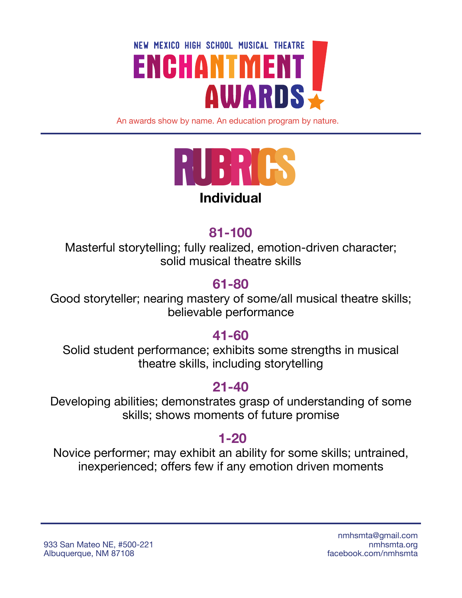

An awards show by name. An education program by nature.



## **81-100**

Masterful storytelling; fully realized, emotion-driven character; solid musical theatre skills

### **61-80**

Good storyteller; nearing mastery of some/all musical theatre skills; believable performance

#### **41-60**

Solid student performance; exhibits some strengths in musical theatre skills, including storytelling

#### **21-40**

Developing abilities; demonstrates grasp of understanding of some skills; shows moments of future promise

### **1-20**

Novice performer; may exhibit an ability for some skills; untrained, inexperienced; offers few if any emotion driven moments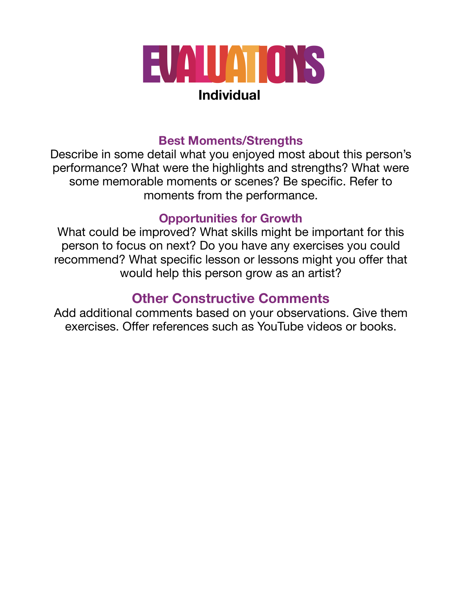

#### **Best Moments/Strengths**

Describe in some detail what you enjoyed most about this person's performance? What were the highlights and strengths? What were some memorable moments or scenes? Be specific. Refer to moments from the performance.

#### **Opportunities for Growth**

What could be improved? What skills might be important for this person to focus on next? Do you have any exercises you could recommend? What specific lesson or lessons might you offer that would help this person grow as an artist?

## **Other Constructive Comments**

Add additional comments based on your observations. Give them exercises. Offer references such as YouTube videos or books.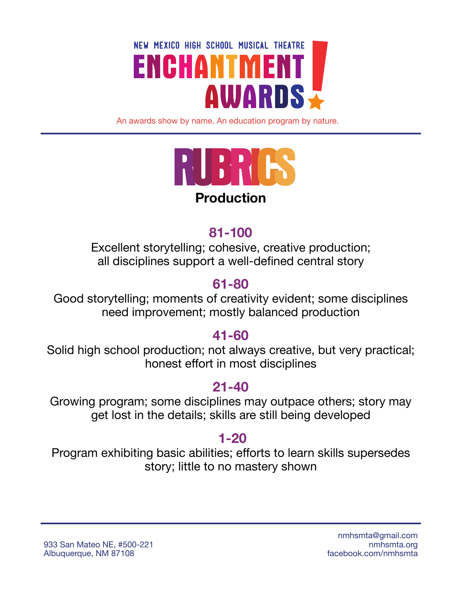

An awards show by name. An education program by nature.



## **81-100**

Excellent storytelling; cohesive, creative production; all disciplines support a well-defined central story

## **61-80**

Good storytelling; moments of creativity evident; some disciplines need improvement; mostly balanced production

#### **41-60**

Solid high school production; not always creative, but very practical; honest effort in most disciplines

### **21-40**

Growing program; some disciplines may outpace others; story may get lost in the details; skills are still being developed

### **1-20**

Program exhibiting basic abilities; efforts to learn skills supersedes story; little to no mastery shown